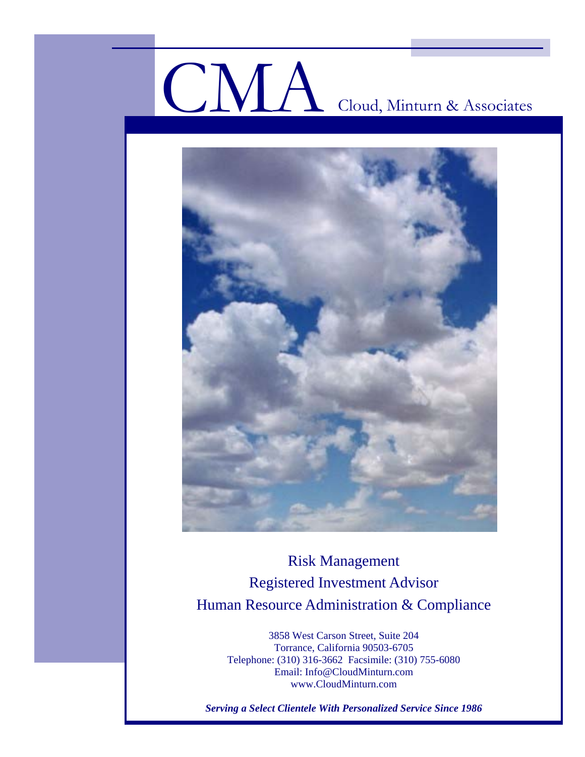# CMA Cloud, Minturn & Associates



Risk Management Registered Investment Advisor Human Resource Administration & Compliance

> 3858 West Carson Street, Suite 204 Torrance, California 90503-6705 Telephone: (310) 316-3662 Facsimile: (310) 755-6080 Email: Info@CloudMinturn.com www.CloudMinturn.com

*Serving a Select Clientele With Personalized Service Since 1986*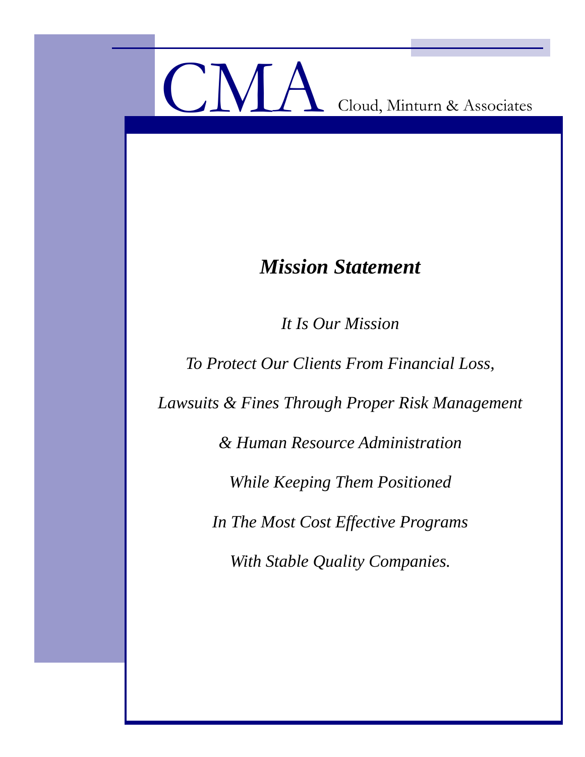

# *Mission Statement*

*It Is Our Mission* 

*To Protect Our Clients From Financial Loss,* 

*Lawsuits & Fines Through Proper Risk Management* 

*& Human Resource Administration* 

*While Keeping Them Positioned* 

*In The Most Cost Effective Programs* 

*With Stable Quality Companies.*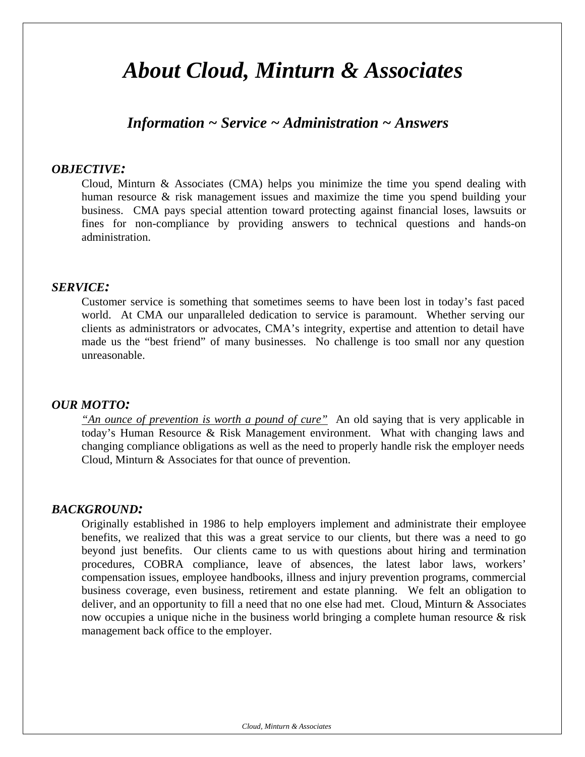# *About Cloud, Minturn & Associates*

# *Information ~ Service ~ Administration ~ Answers*

# *OBJECTIVE:*

Cloud, Minturn & Associates (CMA) helps you minimize the time you spend dealing with human resource & risk management issues and maximize the time you spend building your business. CMA pays special attention toward protecting against financial loses, lawsuits or fines for non-compliance by providing answers to technical questions and hands-on administration.

## *SERVICE:*

Customer service is something that sometimes seems to have been lost in today's fast paced world. At CMA our unparalleled dedication to service is paramount. Whether serving our clients as administrators or advocates, CMA's integrity, expertise and attention to detail have made us the "best friend" of many businesses. No challenge is too small nor any question unreasonable.

## *OUR MOTTO:*

*"An ounce of prevention is worth a pound of cure"* An old saying that is very applicable in today's Human Resource & Risk Management environment. What with changing laws and changing compliance obligations as well as the need to properly handle risk the employer needs Cloud, Minturn & Associates for that ounce of prevention.

# *BACKGROUND:*

Originally established in 1986 to help employers implement and administrate their employee benefits, we realized that this was a great service to our clients, but there was a need to go beyond just benefits. Our clients came to us with questions about hiring and termination procedures, COBRA compliance, leave of absences, the latest labor laws, workers' compensation issues, employee handbooks, illness and injury prevention programs, commercial business coverage, even business, retirement and estate planning. We felt an obligation to deliver, and an opportunity to fill a need that no one else had met. Cloud, Minturn & Associates now occupies a unique niche in the business world bringing a complete human resource & risk management back office to the employer.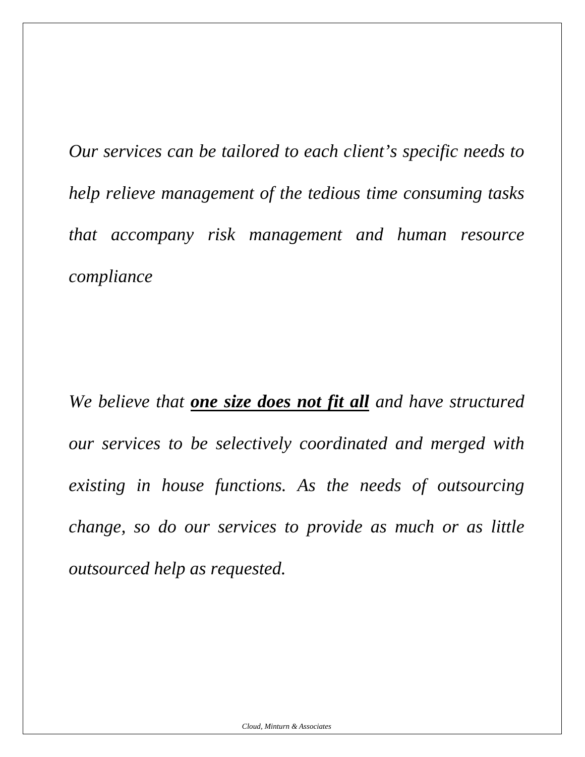*Our services can be tailored to each client's specific needs to help relieve management of the tedious time consuming tasks that accompany risk management and human resource compliance* 

*We believe that one size does not fit all and have structured our services to be selectively coordinated and merged with existing in house functions. As the needs of outsourcing change, so do our services to provide as much or as little outsourced help as requested.*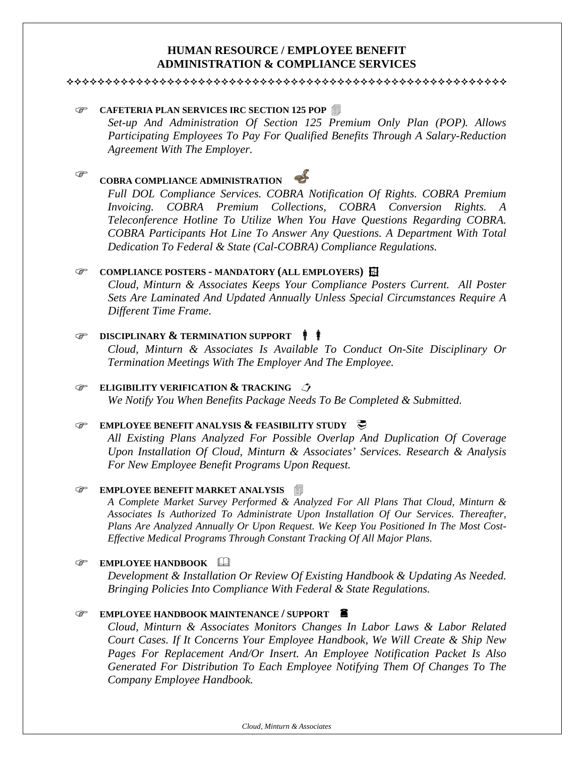# **HUMAN RESOURCE / EMPLOYEE BENEFIT ADMINISTRATION & COMPLIANCE SERVICES**

#### 

# **CAFETERIA PLAN SERVICES IRC SECTION 125 POP**

*Set-up And Administration Of Section 125 Premium Only Plan (POP). Allows Participating Employees To Pay For Qualified Benefits Through A Salary-Reduction Agreement With The Employer.*

#### ্ৰে **COBRA COMPLIANCE ADMINISTRATION**

*Full DOL Compliance Services. COBRA Notification Of Rights. COBRA Premium Invoicing. COBRA Premium Collections, COBRA Conversion Rights. A Teleconference Hotline To Utilize When You Have Questions Regarding COBRA. COBRA Participants Hot Line To Answer Any Questions. A Department With Total Dedication To Federal & State (Cal-COBRA) Compliance Regulations.*

#### **COMPLIANCE POSTERS - MANDATORY (ALL EMPLOYERS)**  $\overrightarrow{H}$

*Cloud, Minturn & Associates Keeps Your Compliance Posters Current. All Poster Sets Are Laminated And Updated Annually Unless Special Circumstances Require A Different Time Frame.*

#### **EXECUTE DISCIPLINARY & TERMINATION SUPPORT**  $\phi$

*Cloud, Minturn & Associates Is Available To Conduct On-Site Disciplinary Or Termination Meetings With The Employer And The Employee.*

#### **ELIGIBILITY VERIFICATION & TRACKING**

*We Notify You When Benefits Package Needs To Be Completed & Submitted.*

#### **EMPLOYEE BENEFIT ANALYSIS & FEASIBILITY STUDY**

*All Existing Plans Analyzed For Possible Overlap And Duplication Of Coverage Upon Installation Of Cloud, Minturn & Associates' Services. Research & Analysis For New Employee Benefit Programs Upon Request.*

#### **EMPLOYEE BENEFIT MARKET ANALYSIS**

*A Complete Market Survey Performed & Analyzed For All Plans That Cloud, Minturn & Associates Is Authorized To Administrate Upon Installation Of Our Services. Thereafter, Plans Are Analyzed Annually Or Upon Request. We Keep You Positioned In The Most Cost-Effective Medical Programs Through Constant Tracking Of All Major Plans.*

#### ) **EMPLOYEE HANDBOOK**

*Development & Installation Or Review Of Existing Handbook & Updating As Needed. Bringing Policies Into Compliance With Federal & State Regulations.* 

#### ) **EMPLOYEE HANDBOOK MAINTENANCE / SUPPORT** «

*Cloud, Minturn & Associates Monitors Changes In Labor Laws & Labor Related Court Cases. If It Concerns Your Employee Handbook, We Will Create & Ship New Pages For Replacement And/Or Insert. An Employee Notification Packet Is Also Generated For Distribution To Each Employee Notifying Them Of Changes To The Company Employee Handbook.*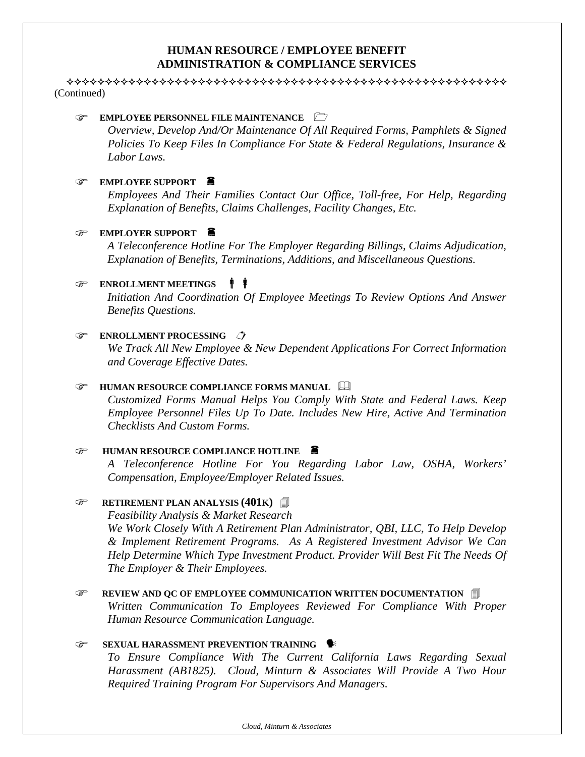# **HUMAN RESOURCE / EMPLOYEE BENEFIT ADMINISTRATION & COMPLIANCE SERVICES**

 (Continued)

# ) **EMPLOYEE PERSONNEL FILE MAINTENANCE**

*Overview, Develop And/Or Maintenance Of All Required Forms, Pamphlets & Signed Policies To Keep Files In Compliance For State & Federal Regulations, Insurance & Labor Laws.*

# ) **EMPLOYEE SUPPORT** «

*Employees And Their Families Contact Our Office, Toll-free, For Help, Regarding Explanation of Benefits, Claims Challenges, Facility Changes, Etc.* 

# ) **EMPLOYER SUPPORT** «

*A Teleconference Hotline For The Employer Regarding Billings, Claims Adjudication, Explanation of Benefits, Terminations, Additions, and Miscellaneous Questions.*

# **ENROLLMENT MEETINGS**  $\mathbf{\hat{\mathbf{F}}}$

*Initiation And Coordination Of Employee Meetings To Review Options And Answer Benefits Questions.*

# **ENROLLMENT PROCESSING**

*We Track All New Employee & New Dependent Applications For Correct Information and Coverage Effective Dates.*

# *G* **HUMAN RESOURCE COMPLIANCE FORMS MANUAL <b>A**

*Customized Forms Manual Helps You Comply With State and Federal Laws. Keep Employee Personnel Files Up To Date. Includes New Hire, Active And Termination Checklists And Custom Forms.* 

# *G* HUMAN RESOURCE COMPLIANCE HOTLINE

*A Teleconference Hotline For You Regarding Labor Law, OSHA, Workers' Compensation, Employee/Employer Related Issues.*

# **F** RETIREMENT PLAN ANALYSIS (401K) **i**

*Feasibility Analysis & Market Research We Work Closely With A Retirement Plan Administrator, QBI, LLC, To Help Develop & Implement Retirement Programs. As A Registered Investment Advisor We Can Help Determine Which Type Investment Product. Provider Will Best Fit The Needs Of The Employer & Their Employees.*

**EXEMBLE 20 AND AND OC OF EMPLOYEE COMMUNICATION WRITTEN DOCUMENTATION** *Written Communication To Employees Reviewed For Compliance With Proper Human Resource Communication Language.*

# **SEXUAL HARASSMENT PREVENTION TRAINING**

*To Ensure Compliance With The Current California Laws Regarding Sexual Harassment (AB1825). Cloud, Minturn & Associates Will Provide A Two Hour Required Training Program For Supervisors And Managers.*